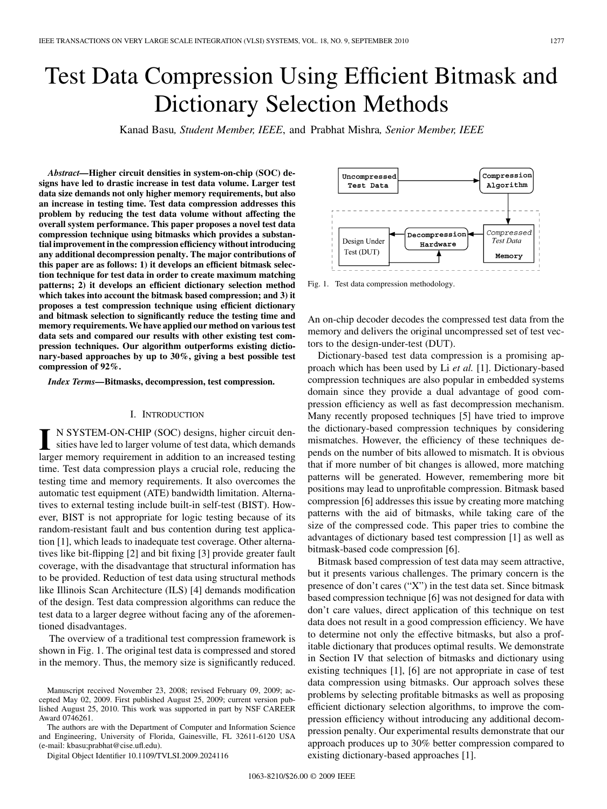# Test Data Compression Using Efficient Bitmask and Dictionary Selection Methods

Kanad Basu*, Student Member, IEEE*, and Prabhat Mishra*, Senior Member, IEEE*

*Abstract—***Higher circuit densities in system-on-chip (SOC) designs have led to drastic increase in test data volume. Larger test data size demands not only higher memory requirements, but also an increase in testing time. Test data compression addresses this problem by reducing the test data volume without affecting the overall system performance. This paper proposes a novel test data compression technique using bitmasks which provides a substantial improvement in the compression efficiency without introducing any additional decompression penalty. The major contributions of this paper are as follows: 1) it develops an efficient bitmask selection technique for test data in order to create maximum matching patterns; 2) it develops an efficient dictionary selection method which takes into account the bitmask based compression; and 3) it proposes a test compression technique using efficient dictionary and bitmask selection to significantly reduce the testing time and memory requirements. We have applied our method on various test data sets and compared our results with other existing test compression techniques. Our algorithm outperforms existing dictionary-based approaches by up to 30%, giving a best possible test compression of 92%.**

*Index Terms—***Bitmasks, decompression, test compression.**

## I. INTRODUCTION

**I** N SYSTEM-ON-CHIP (SOC) designs, higher circuit densities have led to larger volume of test data, which demands larger memory requirement in addition to an increased testing time. Test data compression plays a crucial role, reducing the testing time and memory requirements. It also overcomes the automatic test equipment (ATE) bandwidth limitation. Alternatives to external testing include built-in self-test (BIST). However, BIST is not appropriate for logic testing because of its random-resistant fault and bus contention during test application [1], which leads to inadequate test coverage. Other alternatives like bit-flipping [2] and bit fixing [3] provide greater fault coverage, with the disadvantage that structural information has to be provided. Reduction of test data using structural methods like Illinois Scan Architecture (ILS) [4] demands modification of the design. Test data compression algorithms can reduce the test data to a larger degree without facing any of the aforementioned disadvantages.

The overview of a traditional test compression framework is shown in Fig. 1. The original test data is compressed and stored in the memory. Thus, the memory size is significantly reduced.

The authors are with the Department of Computer and Information Science and Engineering, University of Florida, Gainesville, FL 32611-6120 USA (e-mail: kbasu;prabhat@cise.ufl.edu).

Digital Object Identifier 10.1109/TVLSI.2009.2024116



Fig. 1. Test data compression methodology.

An on-chip decoder decodes the compressed test data from the memory and delivers the original uncompressed set of test vectors to the design-under-test (DUT).

Dictionary-based test data compression is a promising approach which has been used by Li *et al.* [1]. Dictionary-based compression techniques are also popular in embedded systems domain since they provide a dual advantage of good compression efficiency as well as fast decompression mechanism. Many recently proposed techniques [5] have tried to improve the dictionary-based compression techniques by considering mismatches. However, the efficiency of these techniques depends on the number of bits allowed to mismatch. It is obvious that if more number of bit changes is allowed, more matching patterns will be generated. However, remembering more bit positions may lead to unprofitable compression. Bitmask based compression [6] addresses this issue by creating more matching patterns with the aid of bitmasks, while taking care of the size of the compressed code. This paper tries to combine the advantages of dictionary based test compression [1] as well as bitmask-based code compression [6].

Bitmask based compression of test data may seem attractive, but it presents various challenges. The primary concern is the presence of don't cares ("X") in the test data set. Since bitmask based compression technique [6] was not designed for data with don't care values, direct application of this technique on test data does not result in a good compression efficiency. We have to determine not only the effective bitmasks, but also a profitable dictionary that produces optimal results. We demonstrate in Section IV that selection of bitmasks and dictionary using existing techniques [1], [6] are not appropriate in case of test data compression using bitmasks. Our approach solves these problems by selecting profitable bitmasks as well as proposing efficient dictionary selection algorithms, to improve the compression efficiency without introducing any additional decompression penalty. Our experimental results demonstrate that our approach produces up to 30% better compression compared to existing dictionary-based approaches [1].

Manuscript received November 23, 2008; revised February 09, 2009; accepted May 02, 2009. First published August 25, 2009; current version published August 25, 2010. This work was supported in part by NSF CAREER Award 0746261.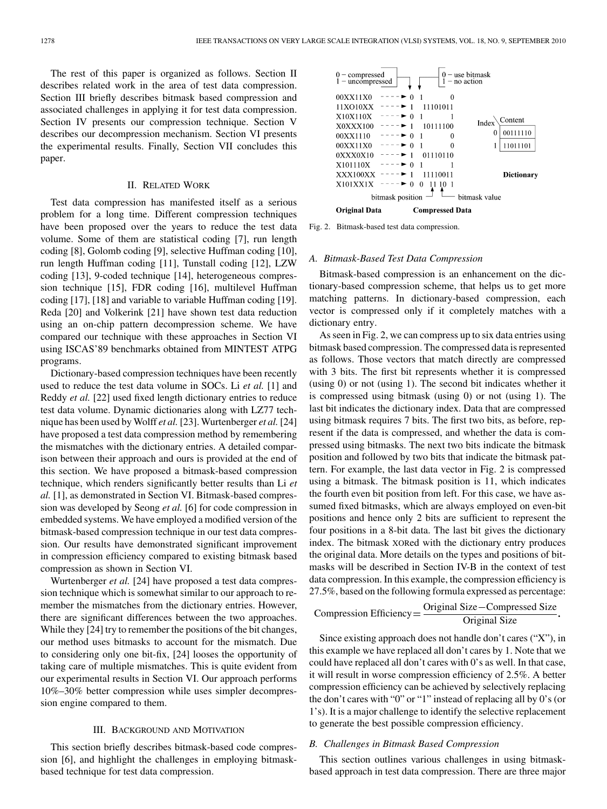The rest of this paper is organized as follows. Section II describes related work in the area of test data compression. Section III briefly describes bitmask based compression and associated challenges in applying it for test data compression. Section IV presents our compression technique. Section V describes our decompression mechanism. Section VI presents the experimental results. Finally, Section VII concludes this paper.

## II. RELATED WORK

Test data compression has manifested itself as a serious problem for a long time. Different compression techniques have been proposed over the years to reduce the test data volume. Some of them are statistical coding [7], run length coding [8], Golomb coding [9], selective Huffman coding [10], run length Huffman coding [11], Tunstall coding [12], LZW coding [13], 9-coded technique [14], heterogeneous compression technique [15], FDR coding [16], multilevel Huffman coding [17], [18] and variable to variable Huffman coding [19]. Reda [20] and Volkerink [21] have shown test data reduction using an on-chip pattern decompression scheme. We have compared our technique with these approaches in Section VI using ISCAS'89 benchmarks obtained from MINTEST ATPG programs.

Dictionary-based compression techniques have been recently used to reduce the test data volume in SOCs. Li *et al.* [1] and Reddy *et al.* [22] used fixed length dictionary entries to reduce test data volume. Dynamic dictionaries along with LZ77 technique has been used by Wolff *et al.* [23]. Wurtenberger *et al.* [24] have proposed a test data compression method by remembering the mismatches with the dictionary entries. A detailed comparison between their approach and ours is provided at the end of this section. We have proposed a bitmask-based compression technique, which renders significantly better results than Li *et al.* [1], as demonstrated in Section VI. Bitmask-based compression was developed by Seong *et al.* [6] for code compression in embedded systems. We have employed a modified version of the bitmask-based compression technique in our test data compression. Our results have demonstrated significant improvement in compression efficiency compared to existing bitmask based compression as shown in Section VI.

Wurtenberger *et al.* [24] have proposed a test data compression technique which is somewhat similar to our approach to remember the mismatches from the dictionary entries. However, there are significant differences between the two approaches. While they [24] try to remember the positions of the bit changes, our method uses bitmasks to account for the mismatch. Due to considering only one bit-fix, [24] looses the opportunity of taking care of multiple mismatches. This is quite evident from our experimental results in Section VI. Our approach performs 10%–30% better compression while uses simpler decompression engine compared to them.

## III. BACKGROUND AND MOTIVATION

This section briefly describes bitmask-based code compression [6], and highlight the challenges in employing bitmaskbased technique for test data compression.



Fig. 2. Bitmask-based test data compression.

## *A. Bitmask-Based Test Data Compression*

Bitmask-based compression is an enhancement on the dictionary-based compression scheme, that helps us to get more matching patterns. In dictionary-based compression, each vector is compressed only if it completely matches with a dictionary entry.

As seen in Fig. 2, we can compress up to six data entries using bitmask based compression. The compressed data is represented as follows. Those vectors that match directly are compressed with 3 bits. The first bit represents whether it is compressed (using 0) or not (using 1). The second bit indicates whether it is compressed using bitmask (using 0) or not (using 1). The last bit indicates the dictionary index. Data that are compressed using bitmask requires 7 bits. The first two bits, as before, represent if the data is compressed, and whether the data is compressed using bitmasks. The next two bits indicate the bitmask position and followed by two bits that indicate the bitmask pattern. For example, the last data vector in Fig. 2 is compressed using a bitmask. The bitmask position is 11, which indicates the fourth even bit position from left. For this case, we have assumed fixed bitmasks, which are always employed on even-bit positions and hence only 2 bits are sufficient to represent the four positions in a 8-bit data. The last bit gives the dictionary index. The bitmask XORed with the dictionary entry produces the original data. More details on the types and positions of bitmasks will be described in Section IV-B in the context of test data compression. In this example, the compression efficiency is 27.5%, based on the following formula expressed as percentage:

Compression Efficiency =  $\frac{\text{Original Size} - \text{Compressed Size}}{\text{O}}$ Original Size

Since existing approach does not handle don't cares ("X"), in this example we have replaced all don't cares by 1. Note that we could have replaced all don't cares with 0's as well. In that case, it will result in worse compression efficiency of 2.5%. A better compression efficiency can be achieved by selectively replacing the don't cares with "0" or "1" instead of replacing all by 0's (or 1's). It is a major challenge to identify the selective replacement to generate the best possible compression efficiency.

# *B. Challenges in Bitmask Based Compression*

This section outlines various challenges in using bitmaskbased approach in test data compression. There are three major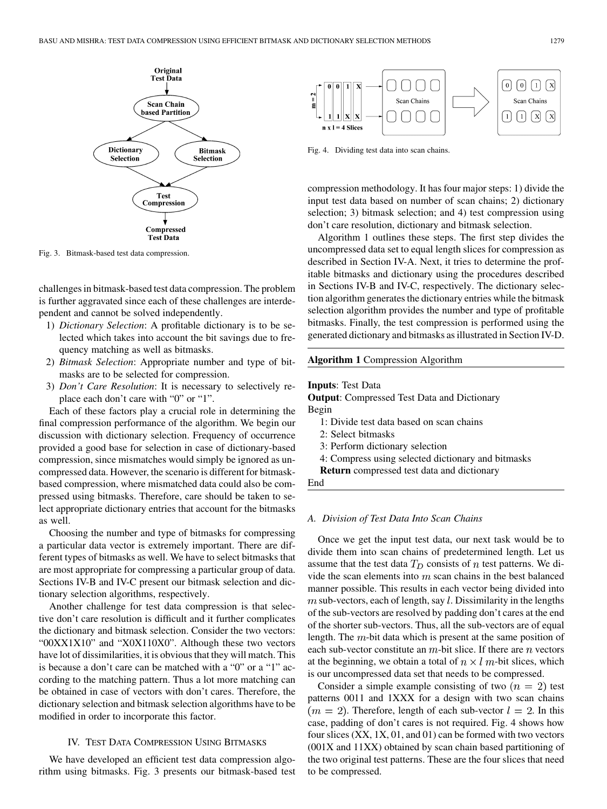

Fig. 3. Bitmask-based test data compression.

challenges in bitmask-based test data compression. The problem is further aggravated since each of these challenges are interdependent and cannot be solved independently.

- 1) *Dictionary Selection*: A profitable dictionary is to be selected which takes into account the bit savings due to frequency matching as well as bitmasks.
- 2) *Bitmask Selection*: Appropriate number and type of bitmasks are to be selected for compression.
- 3) *Don't Care Resolution*: It is necessary to selectively replace each don't care with "0" or "1".

Each of these factors play a crucial role in determining the final compression performance of the algorithm. We begin our discussion with dictionary selection. Frequency of occurrence provided a good base for selection in case of dictionary-based compression, since mismatches would simply be ignored as uncompressed data. However, the scenario is different for bitmaskbased compression, where mismatched data could also be compressed using bitmasks. Therefore, care should be taken to select appropriate dictionary entries that account for the bitmasks as well.

Choosing the number and type of bitmasks for compressing a particular data vector is extremely important. There are different types of bitmasks as well. We have to select bitmasks that are most appropriate for compressing a particular group of data. Sections IV-B and IV-C present our bitmask selection and dictionary selection algorithms, respectively.

Another challenge for test data compression is that selective don't care resolution is difficult and it further complicates the dictionary and bitmask selection. Consider the two vectors: "00XX1X10" and "X0X110X0". Although these two vectors have lot of dissimilarities, it is obvious that they will match. This is because a don't care can be matched with a "0" or a "1" according to the matching pattern. Thus a lot more matching can be obtained in case of vectors with don't cares. Therefore, the dictionary selection and bitmask selection algorithms have to be modified in order to incorporate this factor.

# IV. TEST DATA COMPRESSION USING BITMASKS

We have developed an efficient test data compression algorithm using bitmasks. Fig. 3 presents our bitmask-based test



Fig. 4. Dividing test data into scan chains.

compression methodology. It has four major steps: 1) divide the input test data based on number of scan chains; 2) dictionary selection; 3) bitmask selection; and 4) test compression using don't care resolution, dictionary and bitmask selection.

Algorithm 1 outlines these steps. The first step divides the uncompressed data set to equal length slices for compression as described in Section IV-A. Next, it tries to determine the profitable bitmasks and dictionary using the procedures described in Sections IV-B and IV-C, respectively. The dictionary selection algorithm generates the dictionary entries while the bitmask selection algorithm provides the number and type of profitable bitmasks. Finally, the test compression is performed using the generated dictionary and bitmasks as illustrated in Section IV-D.

# **Algorithm 1** Compression Algorithm

**Inputs**: Test Data

**Output**: Compressed Test Data and Dictionary

Begin

- 1: Divide test data based on scan chains
- 2: Select bitmasks
- 3: Perform dictionary selection
- 4: Compress using selected dictionary and bitmasks
- **Return** compressed test data and dictionary

End

# *A. Division of Test Data Into Scan Chains*

Once we get the input test data, our next task would be to divide them into scan chains of predetermined length. Let us assume that the test data  $T_D$  consists of n test patterns. We divide the scan elements into  $m$  scan chains in the best balanced manner possible. This results in each vector being divided into  $m$  sub-vectors, each of length, say  $l$ . Dissimilarity in the lengths of the sub-vectors are resolved by padding don't cares at the end of the shorter sub-vectors. Thus, all the sub-vectors are of equal length. The  $m$ -bit data which is present at the same position of each sub-vector constitute an  $m$ -bit slice. If there are  $n$  vectors at the beginning, we obtain a total of  $n \times l$  m-bit slices, which is our uncompressed data set that needs to be compressed.

Consider a simple example consisting of two  $(n = 2)$  test patterns 0011 and 1XXX for a design with two scan chains  $(m = 2)$ . Therefore, length of each sub-vector  $l = 2$ . In this case, padding of don't cares is not required. Fig. 4 shows how four slices (XX, 1X, 01, and 01) can be formed with two vectors (001X and 11XX) obtained by scan chain based partitioning of the two original test patterns. These are the four slices that need to be compressed.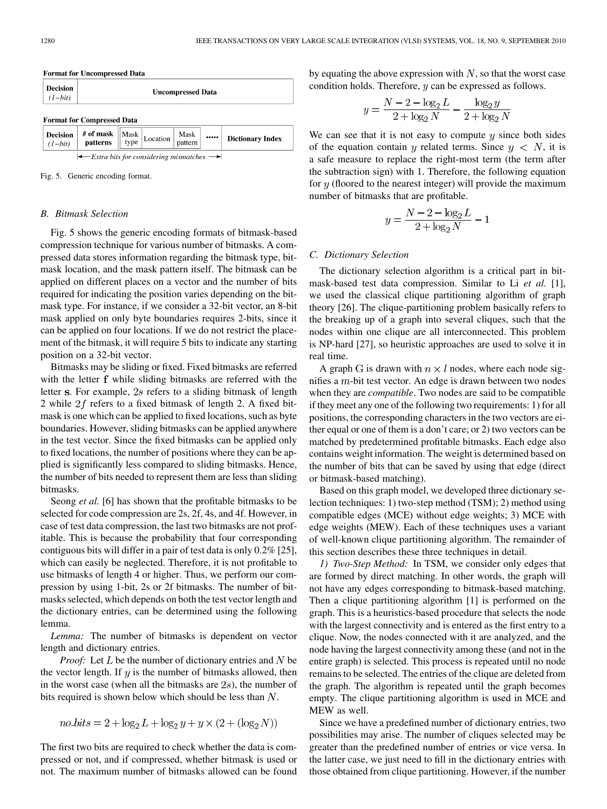| <b>Format for Uncompressed Data</b> |                          |  |  |  |  |  |
|-------------------------------------|--------------------------|--|--|--|--|--|
| <b>Decision</b><br>$(1-bit)$        | <b>Uncompressed Data</b> |  |  |  |  |  |
| <b>Format for Compressed Data</b>   |                          |  |  |  |  |  |

|                                                                  | <b>Decision</b> # of mask $\begin{bmatrix} \n# \text{ of } \mathbf{mask} \\ \text{ has } \n \end{bmatrix}$ Location $\begin{bmatrix} \text{Mask} \\ \text{pattern} \end{bmatrix}$ |  |  |  | $\cdots$ | <b>Dictionary Index</b> |  |  |
|------------------------------------------------------------------|-----------------------------------------------------------------------------------------------------------------------------------------------------------------------------------|--|--|--|----------|-------------------------|--|--|
| $\leftarrow$ Extra bits for considering mismatches $\rightarrow$ |                                                                                                                                                                                   |  |  |  |          |                         |  |  |

Fig. 5. Generic encoding format.

## *B. Bitmask Selection*

Fig. 5 shows the generic encoding formats of bitmask-based compression technique for various number of bitmasks. A compressed data stores information regarding the bitmask type, bitmask location, and the mask pattern itself. The bitmask can be applied on different places on a vector and the number of bits required for indicating the position varies depending on the bitmask type. For instance, if we consider a 32-bit vector, an 8-bit mask applied on only byte boundaries requires 2-bits, since it can be applied on four locations. If we do not restrict the placement of the bitmask, it will require 5 bits to indicate any starting position on a 32-bit vector.

Bitmasks may be sliding or fixed. Fixed bitmasks are referred with the letter  $f$  while sliding bitmasks are referred with the letter s. For example,  $2s$  refers to a sliding bitmask of length 2 while  $2f$  refers to a fixed bitmask of length 2. A fixed bitmask is one which can be applied to fixed locations, such as byte boundaries. However, sliding bitmasks can be applied anywhere in the test vector. Since the fixed bitmasks can be applied only to fixed locations, the number of positions where they can be applied is significantly less compared to sliding bitmasks. Hence, the number of bits needed to represent them are less than sliding bitmasks.

Seong *et al.* [6] has shown that the profitable bitmasks to be selected for code compression are 2s, 2f, 4s, and 4f. However, in case of test data compression, the last two bitmasks are not profitable. This is because the probability that four corresponding contiguous bits will differ in a pair of test data is only 0.2% [25], which can easily be neglected. Therefore, it is not profitable to use bitmasks of length 4 or higher. Thus, we perform our compression by using 1-bit, 2s or 2f bitmasks. The number of bitmasks selected, which depends on both the test vector length and the dictionary entries, can be determined using the following lemma.

*Lemma:* The number of bitmasks is dependent on vector length and dictionary entries.

*Proof:* Let  $L$  be the number of dictionary entries and  $N$  be the vector length. If  $y$  is the number of bitmasks allowed, then in the worst case (when all the bitmasks are  $2s$ ), the number of bits required is shown below which should be less than  $N$ .

$$
no\_bits = 2 + log_2 L + log_2 y + y \times (2 + (log_2 N))
$$

The first two bits are required to check whether the data is compressed or not, and if compressed, whether bitmask is used or not. The maximum number of bitmasks allowed can be found

by equating the above expression with  $N$ , so that the worst case condition holds. Therefore,  $y$  can be expressed as follows.

$$
y = \frac{N - 2 - \log_2 L}{2 + \log_2 N} - \frac{\log_2 y}{2 + \log_2 N}
$$

We can see that it is not easy to compute  $y$  since both sides of the equation contain y related terms. Since  $y \le N$ , it is a safe measure to replace the right-most term (the term after the subtraction sign) with 1. Therefore, the following equation for  $y$  (floored to the nearest integer) will provide the maximum number of bitmasks that are profitable.

$$
y = \frac{N - 2 - \log_2 L}{2 + \log_2 N} - 1
$$

### *C. Dictionary Selection*

The dictionary selection algorithm is a critical part in bitmask-based test data compression. Similar to Li *et al.* [1], we used the classical clique partitioning algorithm of graph theory [26]. The clique-partitioning problem basically refers to the breaking up of a graph into several cliques, such that the nodes within one clique are all interconnected. This problem is NP-hard [27], so heuristic approaches are used to solve it in real time.

A graph G is drawn with  $n \times l$  nodes, where each node signifies a  $m$ -bit test vector. An edge is drawn between two nodes when they are *compatible*. Two nodes are said to be compatible if they meet any one of the following two requirements: 1) for all positions, the corresponding characters in the two vectors are either equal or one of them is a don't care; or 2) two vectors can be matched by predetermined profitable bitmasks. Each edge also contains weight information. The weight is determined based on the number of bits that can be saved by using that edge (direct or bitmask-based matching).

Based on this graph model, we developed three dictionary selection techniques: 1) two-step method (TSM); 2) method using compatible edges (MCE) without edge weights; 3) MCE with edge weights (MEW). Each of these techniques uses a variant of well-known clique partitioning algorithm. The remainder of this section describes these three techniques in detail.

*1) Two-Step Method:* In TSM, we consider only edges that are formed by direct matching. In other words, the graph will not have any edges corresponding to bitmask-based matching. Then a clique partitioning algorithm [1] is performed on the graph. This is a heuristics-based procedure that selects the node with the largest connectivity and is entered as the first entry to a clique. Now, the nodes connected with it are analyzed, and the node having the largest connectivity among these (and not in the entire graph) is selected. This process is repeated until no node remains to be selected. The entries of the clique are deleted from the graph. The algorithm is repeated until the graph becomes empty. The clique partitioning algorithm is used in MCE and MEW as well.

Since we have a predefined number of dictionary entries, two possibilities may arise. The number of cliques selected may be greater than the predefined number of entries or vice versa. In the latter case, we just need to fill in the dictionary entries with those obtained from clique partitioning. However, if the number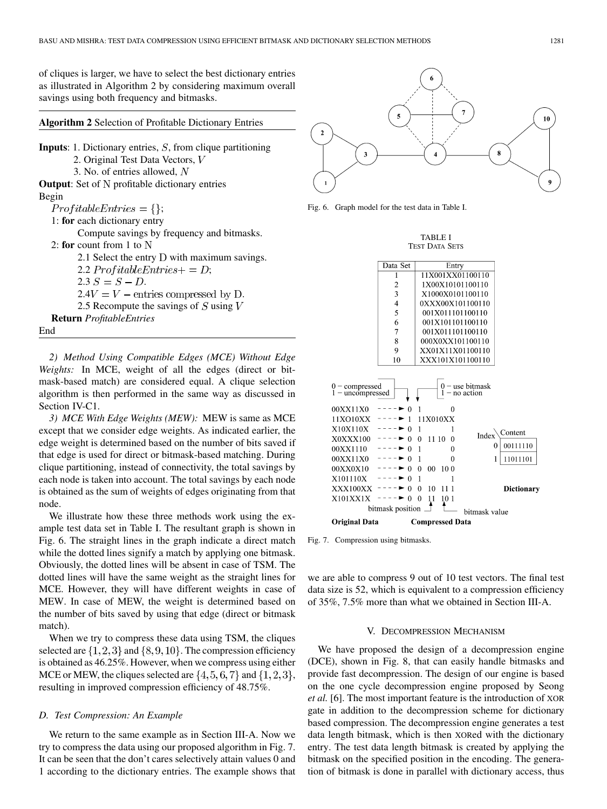of cliques is larger, we have to select the best dictionary entries as illustrated in Algorithm 2 by considering maximum overall savings using both frequency and bitmasks.

**Algorithm 2** Selection of Profitable Dictionary Entries

**Inputs**: 1. Dictionary entries,  $S$ , from clique partitioning 2. Original Test Data Vectors, 3. No. of entries allowed, **Output**: Set of N profitable dictionary entries Begin  $ProfitableEntries = \{\};$ 1: **for** each dictionary entry Compute savings by frequency and bitmasks. 2: **for** count from 1 to 2.1 Select the entry  $D$  with maximum savings. 2.2  $ProfitableEntries += D;$  $2.3 S = S - D.$  $2.4V = V$  – entries compressed by D. 2.5 Recompute the savings of  $S$  using  $V$ **Return** *ProfitableEntries* End

*2) Method Using Compatible Edges (MCE) Without Edge Weights:* In MCE, weight of all the edges (direct or bitmask-based match) are considered equal. A clique selection algorithm is then performed in the same way as discussed in Section IV-C1.

*3) MCE With Edge Weights (MEW):* MEW is same as MCE except that we consider edge weights. As indicated earlier, the edge weight is determined based on the number of bits saved if that edge is used for direct or bitmask-based matching. During clique partitioning, instead of connectivity, the total savings by each node is taken into account. The total savings by each node is obtained as the sum of weights of edges originating from that node.

We illustrate how these three methods work using the example test data set in Table I. The resultant graph is shown in Fig. 6. The straight lines in the graph indicate a direct match while the dotted lines signify a match by applying one bitmask. Obviously, the dotted lines will be absent in case of TSM. The dotted lines will have the same weight as the straight lines for MCE. However, they will have different weights in case of MEW. In case of MEW, the weight is determined based on the number of bits saved by using that edge (direct or bitmask match).

When we try to compress these data using TSM, the cliques selected are  $\{1,2,3\}$  and  $\{8,9,10\}$ . The compression efficiency is obtained as 46.25%. However, when we compress using either MCE or MEW, the cliques selected are  $\{4, 5, 6, 7\}$  and  $\{1, 2, 3\}$ , resulting in improved compression efficiency of 48.75%.

## *D. Test Compression: An Example*

We return to the same example as in Section III-A. Now we try to compress the data using our proposed algorithm in Fig. 7. It can be seen that the don't cares selectively attain values 0 and 1 according to the dictionary entries. The example shows that



Fig. 6. Graph model for the test data in Table I.

TABLE I TEST DATA SETS



Fig. 7. Compression using bitmasks.

we are able to compress 9 out of 10 test vectors. The final test data size is 52, which is equivalent to a compression efficiency of 35%, 7.5% more than what we obtained in Section III-A.

#### V. DECOMPRESSION MECHANISM

We have proposed the design of a decompression engine (DCE), shown in Fig. 8, that can easily handle bitmasks and provide fast decompression. The design of our engine is based on the one cycle decompression engine proposed by Seong *et al.* [6]. The most important feature is the introduction of XOR gate in addition to the decompression scheme for dictionary based compression. The decompression engine generates a test data length bitmask, which is then XORed with the dictionary entry. The test data length bitmask is created by applying the bitmask on the specified position in the encoding. The generation of bitmask is done in parallel with dictionary access, thus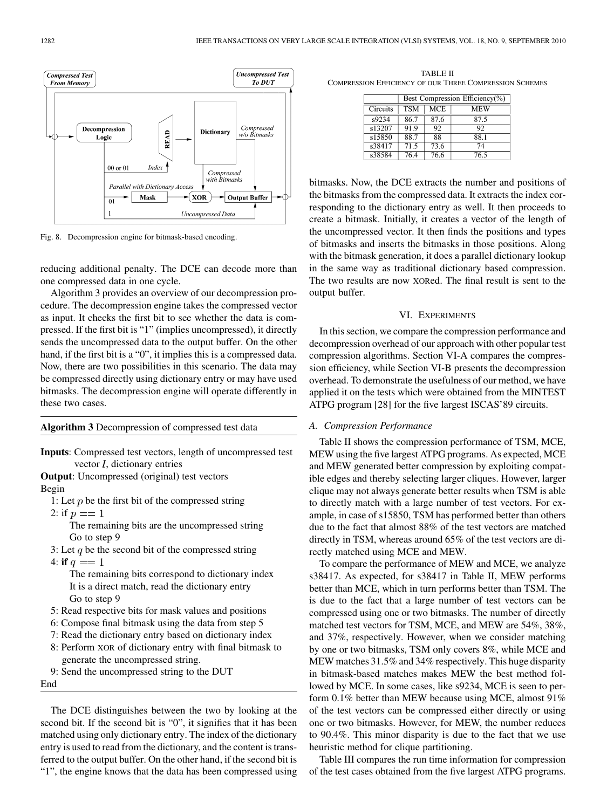

Fig. 8. Decompression engine for bitmask-based encoding.

reducing additional penalty. The DCE can decode more than one compressed data in one cycle.

Algorithm 3 provides an overview of our decompression procedure. The decompression engine takes the compressed vector as input. It checks the first bit to see whether the data is compressed. If the first bit is "1" (implies uncompressed), it directly sends the uncompressed data to the output buffer. On the other hand, if the first bit is a "0", it implies this is a compressed data. Now, there are two possibilities in this scenario. The data may be compressed directly using dictionary entry or may have used bitmasks. The decompression engine will operate differently in these two cases.

## **Algorithm 3** Decompression of compressed test data

**Inputs**: Compressed test vectors, length of uncompressed test vector  $l$ , dictionary entries

**Output**: Uncompressed (original) test vectors

Begin

1: Let  $p$  be the first bit of the compressed string

2: if  $p == 1$ 

The remaining bits are the uncompressed string Go to step 9

- 3: Let  $q$  be the second bit of the compressed string
- 4: **if**  $q == 1$

The remaining bits correspond to dictionary index It is a direct match, read the dictionary entry Go to step 9

- 5: Read respective bits for mask values and positions
- 6: Compose final bitmask using the data from step 5
- 7: Read the dictionary entry based on dictionary index
- 8: Perform XOR of dictionary entry with final bitmask to generate the uncompressed string.
- 9: Send the uncompressed string to the DUT

End

The DCE distinguishes between the two by looking at the second bit. If the second bit is "0", it signifies that it has been matched using only dictionary entry. The index of the dictionary entry is used to read from the dictionary, and the content is transferred to the output buffer. On the other hand, if the second bit is "1", the engine knows that the data has been compressed using

TABLE II COMPRESSION EFFICIENCY OF OUR THREE COMPRESSION SCHEMES

|          | Best Compression Efficiency(%) |                         |      |  |  |  |  |
|----------|--------------------------------|-------------------------|------|--|--|--|--|
| Circuits | <b>TSM</b>                     | $\overline{\text{MCE}}$ | MEW  |  |  |  |  |
| s9234    | 86.7                           | 87.6                    | 87.5 |  |  |  |  |
| s13207   | 91.9                           | 92                      | 92   |  |  |  |  |
| s15850   | 88.7                           | 88                      | 88.1 |  |  |  |  |
| s38417   | 71.5                           | 73.6                    | 74   |  |  |  |  |
| s38584   | 76.4                           | 76.6                    | 76.5 |  |  |  |  |

bitmasks. Now, the DCE extracts the number and positions of the bitmasks from the compressed data. It extracts the index corresponding to the dictionary entry as well. It then proceeds to create a bitmask. Initially, it creates a vector of the length of the uncompressed vector. It then finds the positions and types of bitmasks and inserts the bitmasks in those positions. Along with the bitmask generation, it does a parallel dictionary lookup in the same way as traditional dictionary based compression. The two results are now XORed. The final result is sent to the output buffer.

# VI. EXPERIMENTS

In this section, we compare the compression performance and decompression overhead of our approach with other popular test compression algorithms. Section VI-A compares the compression efficiency, while Section VI-B presents the decompression overhead. To demonstrate the usefulness of our method, we have applied it on the tests which were obtained from the MINTEST ATPG program [28] for the five largest ISCAS'89 circuits.

# *A. Compression Performance*

Table II shows the compression performance of TSM, MCE, MEW using the five largest ATPG programs. As expected, MCE and MEW generated better compression by exploiting compatible edges and thereby selecting larger cliques. However, larger clique may not always generate better results when TSM is able to directly match with a large number of test vectors. For example, in case of s15850, TSM has performed better than others due to the fact that almost 88% of the test vectors are matched directly in TSM, whereas around 65% of the test vectors are directly matched using MCE and MEW.

To compare the performance of MEW and MCE, we analyze s38417. As expected, for s38417 in Table II, MEW performs better than MCE, which in turn performs better than TSM. The is due to the fact that a large number of test vectors can be compressed using one or two bitmasks. The number of directly matched test vectors for TSM, MCE, and MEW are 54%, 38%, and 37%, respectively. However, when we consider matching by one or two bitmasks, TSM only covers 8%, while MCE and MEW matches 31.5% and 34% respectively. This huge disparity in bitmask-based matches makes MEW the best method followed by MCE. In some cases, like s9234, MCE is seen to perform 0.1% better than MEW because using MCE, almost 91% of the test vectors can be compressed either directly or using one or two bitmasks. However, for MEW, the number reduces to 90.4%. This minor disparity is due to the fact that we use heuristic method for clique partitioning.

Table III compares the run time information for compression of the test cases obtained from the five largest ATPG programs.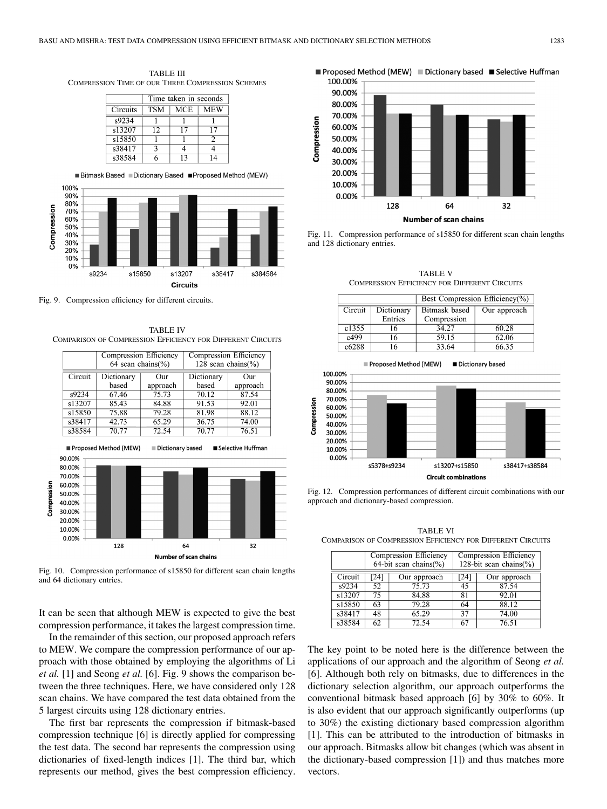TABLE III COMPRESSION TIME OF OUR THREE COMPRESSION SCHEMES



100%  $90%$  $80%$ Compression 70% 60% 50% 40% 30% 20% 10% 0% s9234 s15850 s13207 s38417 s384584 Circuits

Fig. 9. Compression efficiency for different circuits.

TABLE IV COMPARISON OF COMPRESSION EFFICIENCY FOR DIFFERENT CIRCUITS



Fig. 10. Compression performance of s15850 for different scan chain lengths and 64 dictionary entries.

It can be seen that although MEW is expected to give the best compression performance, it takes the largest compression time.

In the remainder of this section, our proposed approach refers to MEW. We compare the compression performance of our approach with those obtained by employing the algorithms of Li *et al.* [1] and Seong *et al.* [6]. Fig. 9 shows the comparison between the three techniques. Here, we have considered only 128 scan chains. We have compared the test data obtained from the 5 largest circuits using 128 dictionary entries.

The first bar represents the compression if bitmask-based compression technique [6] is directly applied for compressing the test data. The second bar represents the compression using dictionaries of fixed-length indices [1]. The third bar, which represents our method, gives the best compression efficiency.

■ Proposed Method (MEW) ■ Dictionary based ■ Selective Huffman



Fig. 11. Compression performance of s15850 for different scan chain lengths and 128 dictionary entries.

TABLE V COMPRESSION EFFICIENCY FOR DIFFERENT CIRCUITS

|         |            | Best Compression Efficiency(%) |              |  |  |
|---------|------------|--------------------------------|--------------|--|--|
| Circuit | Dictionary | Bitmask based                  | Our approach |  |  |
|         | Entries    | Compression                    |              |  |  |
| c1355   | 16         | 34.27                          | 60.28        |  |  |
| c499    | 16         | 59.15                          | 62.06        |  |  |
| c6288   | 16         | 33.64                          | 66.35        |  |  |



Fig. 12. Compression performances of different circuit combinations with our approach and dictionary-based compression.

TABLE VI COMPARISON OF COMPRESSION EFFICIENCY FOR DIFFERENT CIRCUITS

|         |     | Compression Efficiency   | Compression Efficiency      |              |  |  |
|---------|-----|--------------------------|-----------------------------|--------------|--|--|
|         |     | $64$ -bit scan chains(%) | 128-bit scan chains $(\% )$ |              |  |  |
| Circuit | 241 | Our approach             | 24                          | Our approach |  |  |
| s9234   | 52  | 75.73                    | 45                          | 87.54        |  |  |
| s13207  | 75  | 84.88                    | 81                          | 92.01        |  |  |
| s15850  | 63  | 79.28                    | 64                          | 88.12        |  |  |
| s38417  | 48  | 65.29                    | 37                          | 74.00        |  |  |
| s38584  | 62  | 72.54                    | 67                          | 76.51        |  |  |

The key point to be noted here is the difference between the applications of our approach and the algorithm of Seong *et al.* [6]. Although both rely on bitmasks, due to differences in the dictionary selection algorithm, our approach outperforms the conventional bitmask based approach [6] by 30% to 60%. It is also evident that our approach significantly outperforms (up to 30%) the existing dictionary based compression algorithm [1]. This can be attributed to the introduction of bitmasks in our approach. Bitmasks allow bit changes (which was absent in the dictionary-based compression [1]) and thus matches more vectors.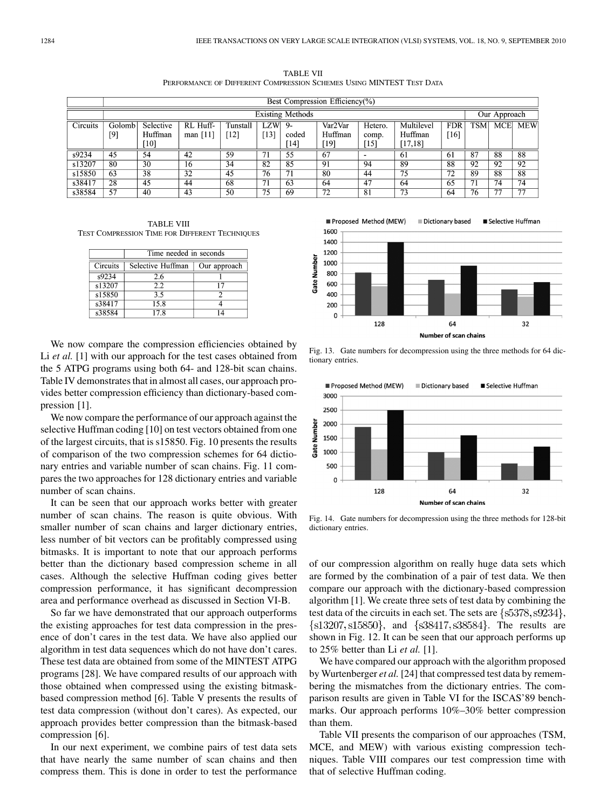TABLE VII PERFORMANCE OF DIFFERENT COMPRESSION SCHEMES USING MINTEST TEST DATA

|          | Best Compression Efficiency(%) |           |            |                 |                   |       |         |         |              |            |      |     |            |
|----------|--------------------------------|-----------|------------|-----------------|-------------------|-------|---------|---------|--------------|------------|------|-----|------------|
|          | <b>Existing Methods</b>        |           |            |                 |                   |       |         |         | Our Approach |            |      |     |            |
| Circuits | Golomb                         | Selective | RL Huff-   | Tunstall        | <b>LZW</b>        | -9    | Var2Var | Hetero. | Multilevel   | <b>FDR</b> | TSM. | MCE | <b>MEW</b> |
|          | [9]                            | Huffman   | man $[11]$ | $12^{-}$        | 13                | coded | Huffman | comp.   | Huffman      | 16         |      |     |            |
|          |                                | [10]      |            |                 |                   | [14]  | [19]    | '151    | [17, 18]     |            |      |     |            |
| s9234    | 45                             | 54        | 42         | 59              | 71                | 55    | 67      |         | -61          | 61         | 87   | 88  | 88         |
| s13207   | 80                             | 30        | 16         | $3\overline{4}$ | 82                | 85    | -91     | 94      | 89           | 88         | 92   | 92  | 92         |
| s15850   | 63                             | 38        | 32         | 45              | 76                | 71    | 80      | 44      | 75           | 72         | 89   | 88  | 88         |
| s38417   | 28                             | 45        | 44         | 68              | $\overline{\tau}$ | 63    | 64      | -47     | 64           | 65         | 71   | 74  | 74         |
| s38584   | 57                             | 40        | 43         | 50              | 75                | 69    | 72      | -81     | 73           | 64         | 76   | די  | 77         |

TABLE VIII TEST COMPRESSION TIME FOR DIFFERENT TECHNIQUES

|                 | Time needed in seconds |              |  |  |  |  |  |
|-----------------|------------------------|--------------|--|--|--|--|--|
| <b>Circuits</b> | Selective Huffman      | Our approach |  |  |  |  |  |
| s9234           | 2.6                    |              |  |  |  |  |  |
| s13207          | 2.2                    |              |  |  |  |  |  |
| s15850          | 35                     |              |  |  |  |  |  |
| s38417          | 15.8                   |              |  |  |  |  |  |
| s38584          | 17 8                   |              |  |  |  |  |  |

We now compare the compression efficiencies obtained by Li *et al.* [1] with our approach for the test cases obtained from the 5 ATPG programs using both 64- and 128-bit scan chains. Table IV demonstrates that in almost all cases, our approach provides better compression efficiency than dictionary-based compression [1].

We now compare the performance of our approach against the selective Huffman coding [10] on test vectors obtained from one of the largest circuits, that is s15850. Fig. 10 presents the results of comparison of the two compression schemes for 64 dictionary entries and variable number of scan chains. Fig. 11 compares the two approaches for 128 dictionary entries and variable number of scan chains.

It can be seen that our approach works better with greater number of scan chains. The reason is quite obvious. With smaller number of scan chains and larger dictionary entries, less number of bit vectors can be profitably compressed using bitmasks. It is important to note that our approach performs better than the dictionary based compression scheme in all cases. Although the selective Huffman coding gives better compression performance, it has significant decompression area and performance overhead as discussed in Section VI-B.

So far we have demonstrated that our approach outperforms the existing approaches for test data compression in the presence of don't cares in the test data. We have also applied our algorithm in test data sequences which do not have don't cares. These test data are obtained from some of the MINTEST ATPG programs [28]. We have compared results of our approach with those obtained when compressed using the existing bitmaskbased compression method [6]. Table V presents the results of test data compression (without don't cares). As expected, our approach provides better compression than the bitmask-based compression [6].

In our next experiment, we combine pairs of test data sets that have nearly the same number of scan chains and then compress them. This is done in order to test the performance



Fig. 13. Gate numbers for decompression using the three methods for 64 dictionary entries.



Fig. 14. Gate numbers for decompression using the three methods for 128-bit dictionary entries.

of our compression algorithm on really huge data sets which are formed by the combination of a pair of test data. We then compare our approach with the dictionary-based compression algorithm [1]. We create three sets of test data by combining the test data of the circuits in each set. The sets are  $\{s5378, s9234\}$ ,  $\{s13207, s15850\}$ , and  $\{s38417, s38584\}$ . The results are shown in Fig. 12. It can be seen that our approach performs up to 25% better than Li *et al.* [1].

We have compared our approach with the algorithm proposed by Wurtenberger *et al.* [24] that compressed test data by remembering the mismatches from the dictionary entries. The comparison results are given in Table VI for the ISCAS'89 benchmarks. Our approach performs 10%–30% better compression than them.

Table VII presents the comparison of our approaches (TSM, MCE, and MEW) with various existing compression techniques. Table VIII compares our test compression time with that of selective Huffman coding.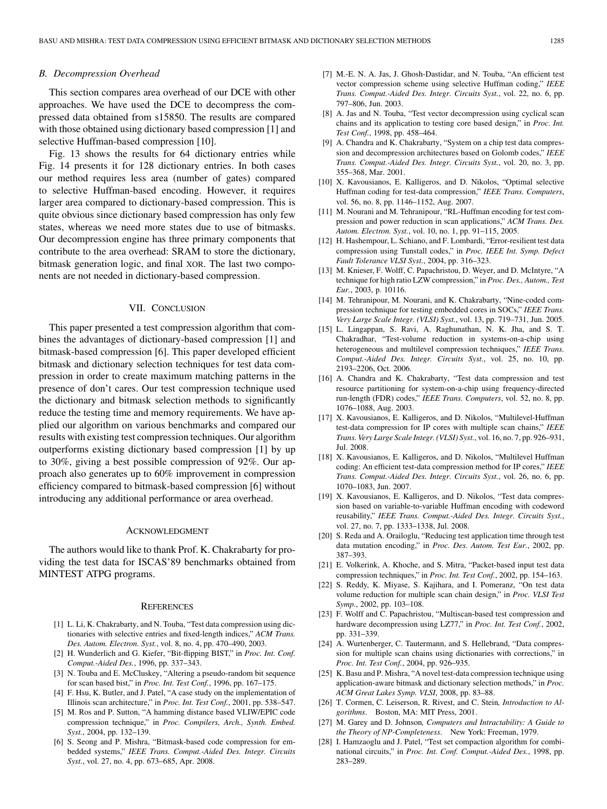# *B. Decompression Overhead*

This section compares area overhead of our DCE with other approaches. We have used the DCE to decompress the compressed data obtained from s15850. The results are compared with those obtained using dictionary based compression [1] and selective Huffman-based compression [10].

Fig. 13 shows the results for 64 dictionary entries while Fig. 14 presents it for 128 dictionary entries. In both cases our method requires less area (number of gates) compared to selective Huffman-based encoding. However, it requires larger area compared to dictionary-based compression. This is quite obvious since dictionary based compression has only few states, whereas we need more states due to use of bitmasks. Our decompression engine has three primary components that contribute to the area overhead: SRAM to store the dictionary, bitmask generation logic, and final XOR. The last two components are not needed in dictionary-based compression.

# VII. CONCLUSION

This paper presented a test compression algorithm that combines the advantages of dictionary-based compression [1] and bitmask-based compression [6]. This paper developed efficient bitmask and dictionary selection techniques for test data compression in order to create maximum matching patterns in the presence of don't cares. Our test compression technique used the dictionary and bitmask selection methods to significantly reduce the testing time and memory requirements. We have applied our algorithm on various benchmarks and compared our results with existing test compression techniques. Our algorithm outperforms existing dictionary based compression [1] by up to 30%, giving a best possible compression of 92%. Our approach also generates up to 60% improvement in compression efficiency compared to bitmask-based compression [6] without introducing any additional performance or area overhead.

## ACKNOWLEDGMENT

The authors would like to thank Prof. K. Chakrabarty for providing the test data for ISCAS'89 benchmarks obtained from MINTEST ATPG programs.

#### **REFERENCES**

- [1] L. Li, K. Chakrabarty, and N. Touba, "Test data compression using dictionaries with selective entries and fixed-length indices," *ACM Trans. Des. Autom. Electron. Syst.*, vol. 8, no. 4, pp. 470–490, 2003.
- [2] H. Wunderlich and G. Kiefer, "Bit-flipping BIST," in *Proc. Int. Conf. Comput.-Aided Des.*, 1996, pp. 337–343.
- [3] N. Touba and E. McCluskey, "Altering a pseudo-random bit sequence for scan based bist," in *Proc. Int. Test Conf.*, 1996, pp. 167–175.
- [4] F. Hsu, K. Butler, and J. Patel, "A case study on the implementation of Illinois scan architecture," in *Proc. Int. Test Conf.*, 2001, pp. 538–547.
- [5] M. Ros and P. Sutton, "A hamming distance based VLIW/EPIC code compression technique," in *Proc. Compilers, Arch., Synth. Embed. Syst.*, 2004, pp. 132–139.
- [6] S. Seong and P. Mishra, "Bitmask-based code compression for embedded systems," *IEEE Trans. Comput.-Aided Des. Integr. Circuits Syst.*, vol. 27, no. 4, pp. 673–685, Apr. 2008.
- [7] M.-E. N. A. Jas, J. Ghosh-Dastidar, and N. Touba, "An efficient test vector compression scheme using selective Huffman coding," *IEEE Trans. Comput.-Aided Des. Integr. Circuits Syst.*, vol. 22, no. 6, pp. 797–806, Jun. 2003.
- [8] A. Jas and N. Touba, "Test vector decompression using cyclical scan chains and its application to testing core based design," in *Proc. Int. Test Conf.*, 1998, pp. 458–464.
- [9] A. Chandra and K. Chakrabarty, "System on a chip test data compression and decompression architectures based on Golomb codes," *IEEE Trans. Comput.-Aided Des. Integr. Circuits Syst.*, vol. 20, no. 3, pp. 355–368, Mar. 2001.
- [10] X. Kavousianos, E. Kalligeros, and D. Nikolos, "Optimal selective Huffman coding for test-data compression," *IEEE Trans. Computers*, vol. 56, no. 8, pp. 1146–1152, Aug. 2007.
- [11] M. Nourani and M. Tehranipour, "RL-Huffman encoding for test compression and power reduction in scan applications," *ACM Trans. Des. Autom. Electron. Syst.*, vol. 10, no. 1, pp. 91–115, 2005.
- [12] H. Hashempour, L. Schiano, and F. Lombardi, "Error-resilient test data compression using Tunstall codes," in *Proc. IEEE Int. Symp. Defect Fault Tolerance VLSI Syst.*, 2004, pp. 316–323.
- [13] M. Knieser, F. Wolff, C. Papachristou, D. Weyer, and D. McIntyre, "A technique for high ratio LZW compression," in *Proc. Des., Autom., Test Eur.*, 2003, p. 10116.
- [14] M. Tehranipour, M. Nourani, and K. Chakrabarty, "Nine-coded compression technique for testing embedded cores in SOCs," *IEEE Trans. Very Large Scale Integr. (VLSI) Syst.*, vol. 13, pp. 719–731, Jun. 2005.
- [15] L. Lingappan, S. Ravi, A. Raghunathan, N. K. Jha, and S. T. Chakradhar, "Test-volume reduction in systems-on-a-chip using heterogeneous and multilevel compression techniques," *IEEE Trans. Comput.-Aided Des. Integr. Circuits Syst.*, vol. 25, no. 10, pp. 2193–2206, Oct. 2006.
- [16] A. Chandra and K. Chakrabarty, "Test data compression and test resource partitioning for system-on-a-chip using frequency-directed run-length (FDR) codes," *IEEE Trans. Computers*, vol. 52, no. 8, pp. 1076–1088, Aug. 2003.
- [17] X. Kavousianos, E. Kalligeros, and D. Nikolos, "Multilevel-Huffman test-data compression for IP cores with multiple scan chains," *IEEE Trans. Very Large Scale Integr. (VLSI) Syst.*, vol. 16, no. 7, pp. 926–931, Jul. 2008.
- [18] X. Kavousianos, E. Kalligeros, and D. Nikolos, "Multilevel Huffman coding: An efficient test-data compression method for IP cores," *IEEE Trans. Comput.-Aided Des. Integr. Circuits Syst.*, vol. 26, no. 6, pp. 1070–1083, Jun. 2007.
- [19] X. Kavousianos, E. Kalligeros, and D. Nikolos, "Test data compression based on variable-to-variable Huffman encoding with codeword reusability," *IEEE Trans. Comput.-Aided Des. Integr. Circuits Syst.*, vol. 27, no. 7, pp. 1333–1338, Jul. 2008.
- [20] S. Reda and A. Orailoglu, "Reducing test application time through test data mutation encoding," in *Proc. Des. Autom. Test Eur.*, 2002, pp. 387–393.
- [21] E. Volkerink, A. Khoche, and S. Mitra, "Packet-based input test data compression techniques," in *Proc. Int. Test Conf.*, 2002, pp. 154–163.
- [22] S. Reddy, K. Miyase, S. Kajihara, and I. Pomeranz, "On test data volume reduction for multiple scan chain design," in *Proc. VLSI Test Symp.*, 2002, pp. 103–108.
- [23] F. Wolff and C. Papachristou, "Multiscan-based test compression and hardware decompression using LZ77," in *Proc. Int. Test Conf.*, 2002, pp. 331–339.
- [24] A. Wurtenberger, C. Tautermann, and S. Hellebrand, "Data compression for multiple scan chains using dictionaries with corrections," in *Proc. Int. Test Conf.*, 2004, pp. 926–935.
- [25] K. Basu and P. Mishra, "A novel test-data compression technique using application-aware bitmask and dictionary selection methods," in *Proc. ACM Great Lakes Symp. VLSI*, 2008, pp. 83–88.
- [26] T. Cormen, C. Leiserson, R. Rivest, and C. Stein*, Introduction to Algorithms*. Boston, MA: MIT Press, 2001.
- [27] M. Garey and D. Johnson*, Computers and Intractability: A Guide to the Theory of NP-Completeness*. New York: Freeman, 1979.
- [28] I. Hamzaoglu and J. Patel, "Test set compaction algorithm for combinational circuits," in *Proc. Int. Conf. Comput.-Aided Des.*, 1998, pp. 283–289.